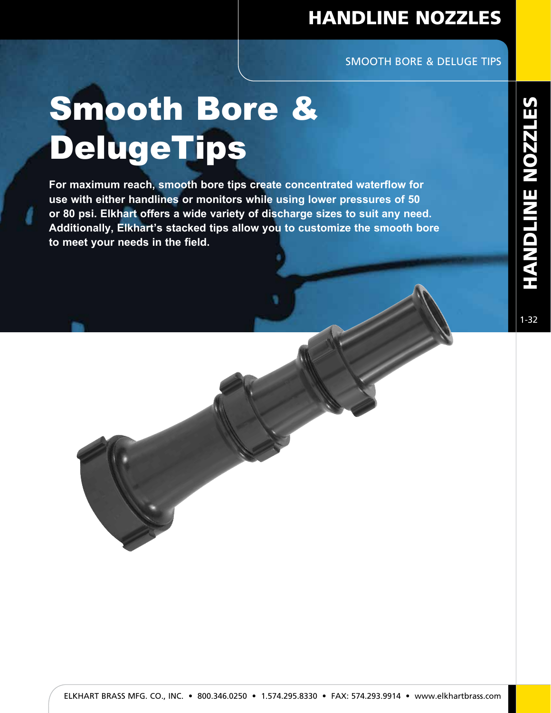# HANDLINE NOZZLES

### SMOOTH BORE & DELUGE TIPS

# Smooth Bore & DelugeTips

**For maximum reach, smooth bore tips create concentrated waterflow for use with either handlines or monitors while using lower pressures of 50 or 80 psi. Elkhart offers a wide variety of discharge sizes to suit any need. Additionally, Elkhart's stacked tips allow you to customize the smooth bore to meet your needs in the field.**

1-32